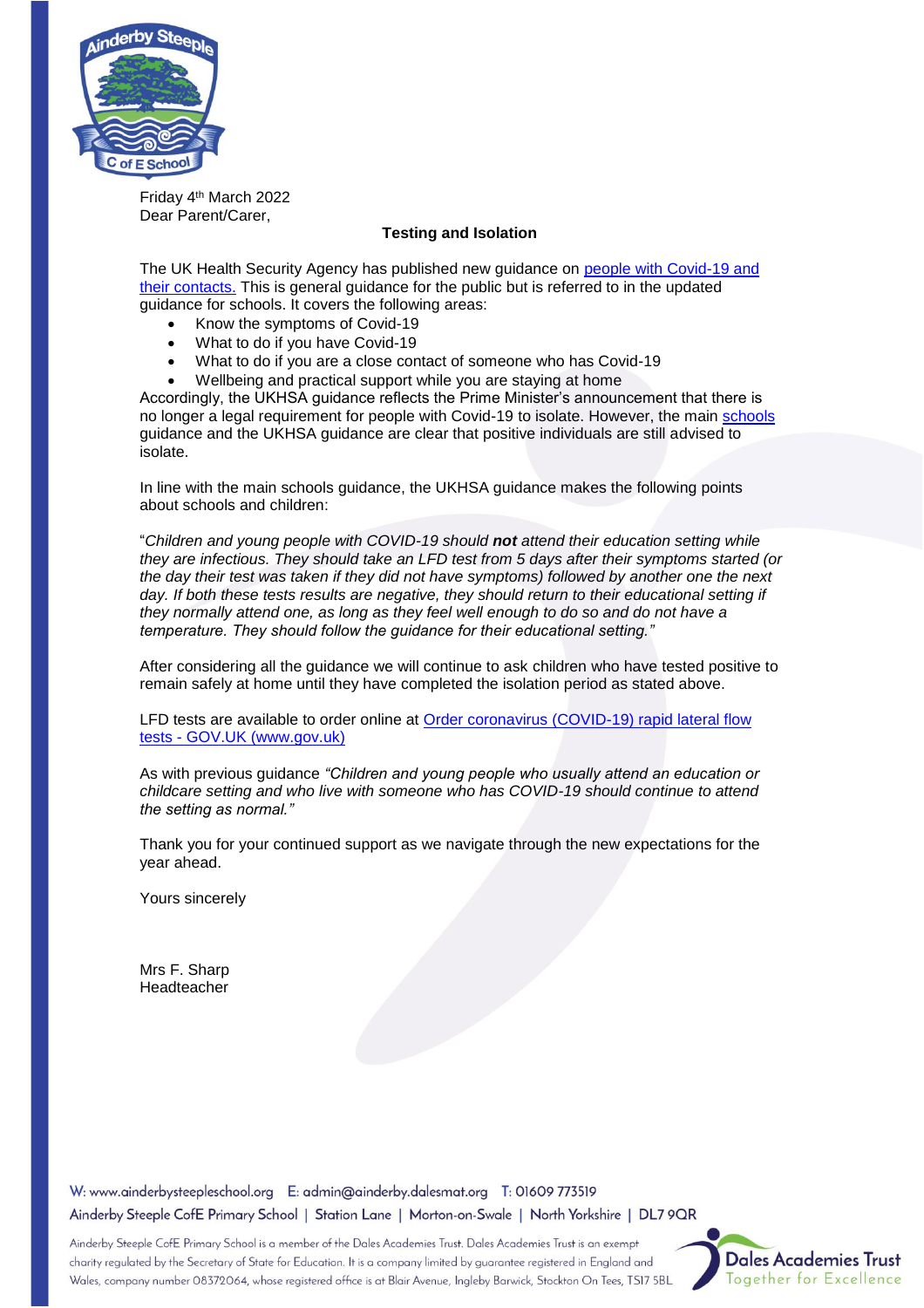

Friday 4th March 2022 Dear Parent/Carer,

## **Testing and Isolation**

The UK Health Security Agency has published new guidance on [people with Covid-19 and](https://www.gov.uk/government/publications/covid-19-people-with-covid-19-and-their-contacts)  [their contacts.](https://www.gov.uk/government/publications/covid-19-people-with-covid-19-and-their-contacts) This is general guidance for the public but is referred to in the updated guidance for schools. It covers the following areas:

- Know the symptoms of Covid-19
- What to do if you have Covid-19
- What to do if you are a close contact of someone who has Covid-19
- Wellbeing and practical support while you are staying at home

Accordingly, the UKHSA guidance reflects the Prime Minister's announcement that there is no longer a legal requirement for people with Covid-19 to isolate. However, the main [schools](https://www.gov.uk/government/publications/actions-for-schools-during-the-coronavirus-outbreak?utm_medium=email&utm_campaign=govuk-notifications-topic&utm_source=9ab0476c-e936-4e4e-a5e3-99ba5233680a&utm_content=immediately) guidance and the UKHSA guidance are clear that positive individuals are still advised to isolate.

In line with the main schools guidance, the UKHSA guidance makes the following points about schools and children:

"*Children and young people with COVID-19 should not attend their education setting while they are infectious. They should take an LFD test from 5 days after their symptoms started (or the day their test was taken if they did not have symptoms) followed by another one the next*  day. If both these tests results are negative, they should return to their educational setting if *they normally attend one, as long as they feel well enough to do so and do not have a temperature. They should follow the guidance for their educational setting."*

After considering all the guidance we will continue to ask children who have tested positive to remain safely at home until they have completed the isolation period as stated above.

LFD tests are available to order online at [Order coronavirus \(COVID-19\) rapid lateral flow](https://www.gov.uk/order-coronavirus-rapid-lateral-flow-tests)  tests - [GOV.UK \(www.gov.uk\)](https://www.gov.uk/order-coronavirus-rapid-lateral-flow-tests)

As with previous guidance *"Children and young people who usually attend an education or childcare setting and who live with someone who has COVID-19 should continue to attend the setting as normal."*

Thank you for your continued support as we navigate through the new expectations for the year ahead.

Yours sincerely

Mrs F. Sharp Headteacher

W: www.ainderbysteepleschool.org E: admin@ainderby.dalesmat.org T: 01609 773519 Ainderby Steeple CofE Primary School | Station Lane | Morton-on-Swale | North Yorkshire | DL7 9QR

Ainderby Steeple CofE Primary School is a member of the Dales Academies Trust. Dales Academies Trust is an exempt charity regulated by the Secretary of State for Education. It is a company limited by guarantee registered in England and Wales, company number 08372064, whose registered office is at Blair Avenue, Ingleby Barwick, Stockton On Tees, TS17 5BL